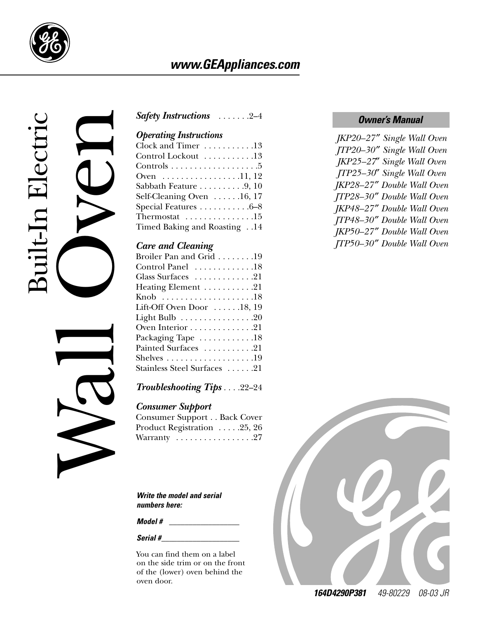

## *www.GEAppliances.com*



## *Owner's Manual [Safety Instructions](#page-1-0)* . . . . . . .2–4

### *Operating Instructions*

| Clock and Timer 13                                   |
|------------------------------------------------------|
| Control Lockout 13                                   |
| Controls $\dots \dots \dots \dots \dots \dots \dots$ |
| Oven 11, 12                                          |
| Sabbath Feature $\ldots \ldots \ldots 9, 10$         |
| Self-Cleaning Oven $\dots$ . 16, 17                  |
| Special Features 6–8                                 |
| Thermostat $\ldots \ldots \ldots \ldots 15$          |
| Timed Baking and Roasting14                          |
|                                                      |

### *Care and Cleaning*

| <b>Safety Instructions</b> 2-4                       |
|------------------------------------------------------|
| <b>Operating Instructions</b>                        |
| Clock and Timer 13                                   |
| Control Lockout 13                                   |
| Controls $\dots \dots \dots \dots \dots \dots \dots$ |
| Oven 11, 12                                          |
| Sabbath Feature 9, 10                                |
| Self-Cleaning Oven 16, 17                            |
| Special Features 6-8                                 |
| Thermostat $\ldots \ldots \ldots \ldots 15$          |
| Timed Baking and Roasting14                          |
| <b>Care and Cleaning</b>                             |
| Broiler Pan and Grid 19                              |
| Control Panel 18                                     |
| Glass Surfaces 21                                    |
| Heating Element 21                                   |
|                                                      |
| Lift-Off Oven Door 18, 19                            |
| Light Bulb 20                                        |
| Oven Interior 21                                     |
| Packaging Tape 18                                    |
| Painted Surfaces 21                                  |
| Shelves $\dots\dots\dots\dots\dots\dots19$           |
| Stainless Steel Surfaces 21                          |
| <b>Troubleshooting Tips22-24</b>                     |
| <b>Consumer Support</b>                              |
| Consumer Support Back Cover                          |
| Product Registration 25, 26                          |
| Warranty 27                                          |
|                                                      |
|                                                      |
|                                                      |
|                                                      |

### *[Troubleshooting Tips](#page-21-0)* . . . .22–24

### *Consumer Support*

| <b>Consumer Support Back Cover</b>               |  |
|--------------------------------------------------|--|
| Product Registration 25, 26                      |  |
| Warranty $\ldots \ldots \ldots \ldots \ldots 27$ |  |

*Write the model and serial numbers here:*

*Model #* 

*Serial #\_\_\_\_\_\_\_\_\_\_\_\_\_\_\_\_\_\_\_\_*

You can find them on a label on the side trim or on the front of the (lower) oven behind the oven door.

*JKP20–27* ″ *Single Wall Oven JTP20–30* ″ *Single Wall Oven JKP25–27*″ *Single Wall Oven JTP25–30*″ *Single Wall Oven JKP28–27* ″ *Double Wall Oven JTP28–30* ″ *Double Wall Oven JKP48–27* ″ *Double Wall Oven JTP48–30* ″ *Double Wall Oven JKP50–27* ″ *Double Wall Oven JTP50–30* ″ *Double Wall Oven*



*164D4290P381 49-80229 08-03 JR*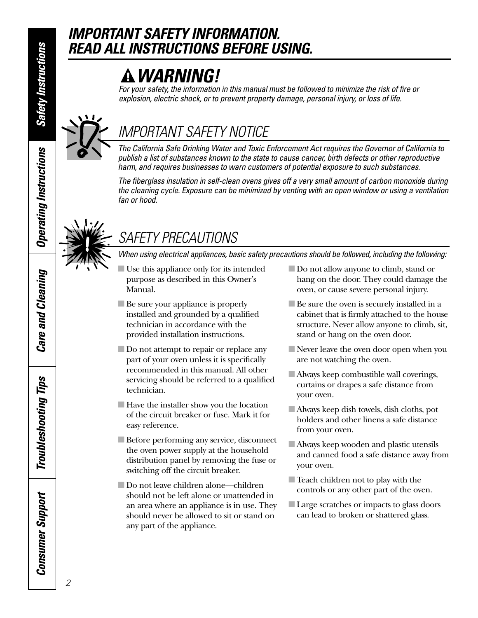*Operating Instructions*

**Operating Instructions** 

## <span id="page-1-0"></span>*IMPORTANT SAFETY INFORMATION. READ ALL INSTRUCTIONS BEFORE USING.*

## *WARNING!*

*For your safety, the information in this manual must be followed to minimize the risk of fire or explosion, electric shock, or to prevent property damage, personal injury, or loss of life.*



## *IMPORTANT SAFETY NOTICE*

*The California Safe Drinking Water and Toxic Enforcement Act requires the Governor of California to publish a list of substances known to the state to cause cancer, birth defects or other reproductive harm, and requires businesses to warn customers of potential exposure to such substances.*

*The fiberglass insulation in self-clean ovens gives off a very small amount of carbon monoxide during the cleaning cycle. Exposure can be minimized by venting with an open window or using a ventilation fan or hood.*



## *SAFETY PRECAUTIONS*

*When using electrical appliances, basic safety precautions should be followed, including the following:*

- Use this appliance only for its intended purpose as described in this Owner's Manual.
- Be sure your appliance is properly installed and grounded by a qualified technician in accordance with the provided installation instructions.
- Do not attempt to repair or replace any part of your oven unless it is specifically recommended in this manual. All other servicing should be referred to a qualified technician.
- Have the installer show you the location of the circuit breaker or fuse. Mark it for easy reference.
- Before performing any service, disconnect the oven power supply at the household distribution panel by removing the fuse or switching off the circuit breaker.
- Do not leave children alone—children should not be left alone or unattended in an area where an appliance is in use. They should never be allowed to sit or stand on any part of the appliance.
- Do not allow anyone to climb, stand or hang on the door. They could damage the oven, or cause severe personal injury.
- Be sure the oven is securely installed in a cabinet that is firmly attached to the house structure. Never allow anyone to climb, sit, stand or hang on the oven door.
- Never leave the oven door open when you are not watching the oven.
- Always keep combustible wall coverings, curtains or drapes a safe distance from your oven.
- Always keep dish towels, dish cloths, pot holders and other linens a safe distance from your oven.
- Always keep wooden and plastic utensils and canned food a safe distance away from your oven.
- Teach children not to play with the controls or any other part of the oven.
- Large scratches or impacts to glass doors can lead to broken or shattered glass.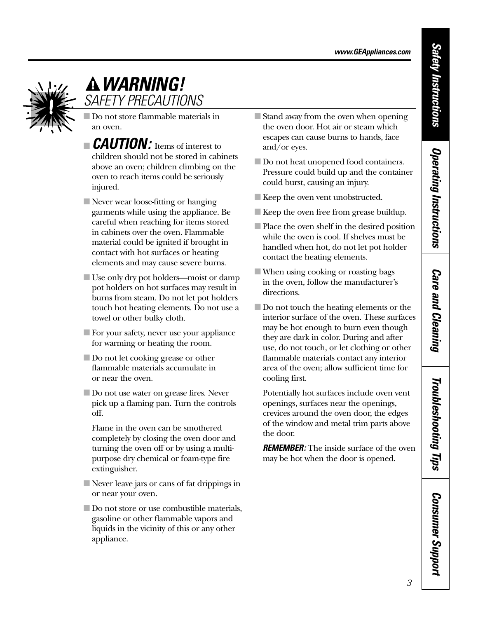

## *WARNING! SAFETY PRECAUTIONS*

■ Do not store flammable materials in an oven.

- **EXUTION:** Items of interest to children should not be stored in cabinets above an oven; children climbing on the oven to reach items could be seriously injured.
- Never wear loose-fitting or hanging garments while using the appliance. Be careful when reaching for items stored in cabinets over the oven. Flammable material could be ignited if brought in contact with hot surfaces or heating elements and may cause severe burns.
- Use only dry pot holders—moist or damp pot holders on hot surfaces may result in burns from steam. Do not let pot holders touch hot heating elements. Do not use a towel or other bulky cloth.
- For your safety, never use your appliance for warming or heating the room.
- Do not let cooking grease or other flammable materials accumulate in or near the oven.
- Do not use water on grease fires. Never pick up a flaming pan. Turn the controls off.
	- Flame in the oven can be smothered completely by closing the oven door and turning the oven off or by using a multipurpose dry chemical or foam-type fire extinguisher.
- Never leave jars or cans of fat drippings in or near your oven.
- Do not store or use combustible materials, gasoline or other flammable vapors and liquids in the vicinity of this or any other appliance.
- Stand away from the oven when opening the oven door. Hot air or steam which escapes can cause burns to hands, face and/or eyes.
- Do not heat unopened food containers. Pressure could build up and the container could burst, causing an injury.
- Keep the oven vent unobstructed.
- Keep the oven free from grease buildup.
- Place the oven shelf in the desired position while the oven is cool. If shelves must be handled when hot, do not let pot holder contact the heating elements.
- When using cooking or roasting bags in the oven, follow the manufacturer's directions.
- Do not touch the heating elements or the interior surface of the oven. These surfaces may be hot enough to burn even though they are dark in color. During and after use, do not touch, or let clothing or other flammable materials contact any interior area of the oven; allow sufficient time for cooling first.

Potentially hot surfaces include oven vent openings, surfaces near the openings, crevices around the oven door, the edges of the window and metal trim parts above the door.

**REMEMBER:** The inside surface of the oven may be hot when the door is opened.

*Consumer Support*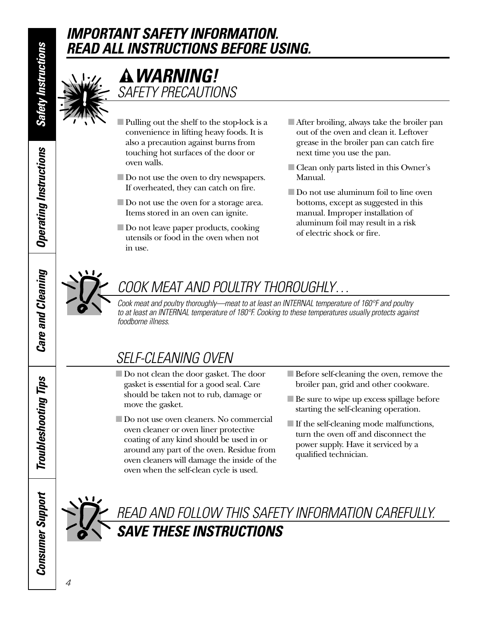## *IMPORTANT SAFETY INFORMATION. READ ALL INSTRUCTIONS BEFORE USING.*



## *WARNING! SAFETY PRECAUTIONS*

- Pulling out the shelf to the stop-lock is a convenience in lifting heavy foods. It is also a precaution against burns from touching hot surfaces of the door or oven walls.
- Do not use the oven to dry newspapers. If overheated, they can catch on fire.
- Do not use the oven for a storage area. Items stored in an oven can ignite.
- Do not leave paper products, cooking utensils or food in the oven when not in use.
- After broiling, always take the broiler pan out of the oven and clean it. Leftover grease in the broiler pan can catch fire next time you use the pan.
- Clean only parts listed in this Owner's Manual.
- Do not use aluminum foil to line oven bottoms, except as suggested in this manual. Improper installation of aluminum foil may result in a risk of electric shock or fire.



## *COOK MEAT AND POULTRY THOROUGHLY…*

*Cook meat and poultry thoroughly—meat to at least an INTERNAL temperature of 160°F and poultry to at least an INTERNAL temperature of 180°F. Cooking to these temperatures usually protects against foodborne illness.*

## *SELF-CLEANING OVEN*

- Do not clean the door gasket. The door gasket is essential for a good seal. Care should be taken not to rub, damage or move the gasket.
- Do not use oven cleaners. No commercial oven cleaner or oven liner protective coating of any kind should be used in or around any part of the oven. Residue from oven cleaners will damage the inside of the oven when the self-clean cycle is used.
- Before self-cleaning the oven, remove the broiler pan, grid and other cookware.
- Be sure to wipe up excess spillage before starting the self-cleaning operation.
- If the self-cleaning mode malfunctions, turn the oven off and disconnect the power supply. Have it serviced by a qualified technician.



## *READ AND FOLLOW THIS SAFETY INFORMATION CAREFULLY. SAVE THESE INSTRUCTIONS*

*Operating Instructions*

**Operating Instructions** 

*Care and Cleaning*

**Care and Cleaning** 

*Troubleshooting Tips*

**Troubleshooting Tips** 

*Consumer Support*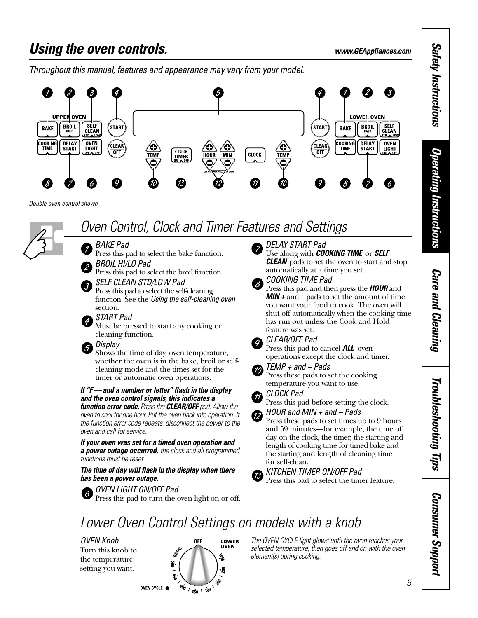## <span id="page-4-0"></span>*Using the oven controls. www.GEAppliances.com*

*Throughout this manual, features and appearance may vary from your model.*



*Double oven control shown*



## *Oven Control, Clock and Timer Features and Settings*

*BAKE Pad* Press this pad to select the bake function. *BROIL HI/LO Pad*

Press this pad to select the broil function.

*SELF CLEAN STD/LOW Pad* Press this pad to select the self-cleaning function. See the *Using the self-cleaning oven* section.

### *START Pad*  $\overline{4}$

Must be pressed to start any cooking or cleaning function.

*Display* 5.

Shows the time of day, oven temperature, whether the oven is in the bake, broil or selfcleaning mode and the times set for the timer or automatic oven operations.

*If "F —and a number or letter" flash in the display and the oven control signals, this indicates a function error code. Press the CLEAR/OFF pad. Allow the oven to cool for one hour. Put the oven back into operation. If*

*the function error code repeats, disconnect the power to the oven and call for service.*

*If your oven was set for a timed oven operation and a power outage occurred, the clock and all programmed functions must be reset.* 

*The time of day will flash in the display when there has been a power outage.*

*OVEN LIGHT ON/OFF Pad*  $6<sup>6</sup>$ Press this pad to turn the oven light on or off.

### *DELAY START Pad*



Use along with *COOKING TIME* or *SELF CLEAN* pads to set the oven to start and stop automatically at a time you set.



Press this pad and then press the *HOUR* and *MIN +* and *–* pads to set the amount of time you want your food to cook. The oven will shut off automatically when the cooking time has run out unless the Cook and Hold feature was set.



 $\omega$ 

*CLEAR/OFF Pad*

Press this pad to cancel *ALL* oven operations except the clock and timer.

*TEMP + and – Pads* Press these pads to set the cooking temperature you want to use.

*CLOCK Pad*

Press this pad before setting the clock.

*HOUR and MIN + and – Pads* Press these pads to set times up to 9 hours and 59 minutes—for example, the time of day on the clock, the timer, the starting and length of cooking time for timed bake and the starting and length of cleaning time for self-clean.

### *KITCHEN TIMER ON/OFF Pad* Press this pad to select the timer feature.



## *Lower Oven Control Settings on models with a knob*

*OVEN Knob*  Turn this knob to the temperature setting you want.



*The OVEN CYCLE light glows until the oven reaches your selected temperature, then goes off and on with the oven element(s) during cooking.*

**Operating Instructions** *Operating Instructions*

**Care and Cleaning** *Care and Cleaning*

Troubleshooting Tips *Troubleshooting Tips*

> **Consumer Support** *Consumer Support*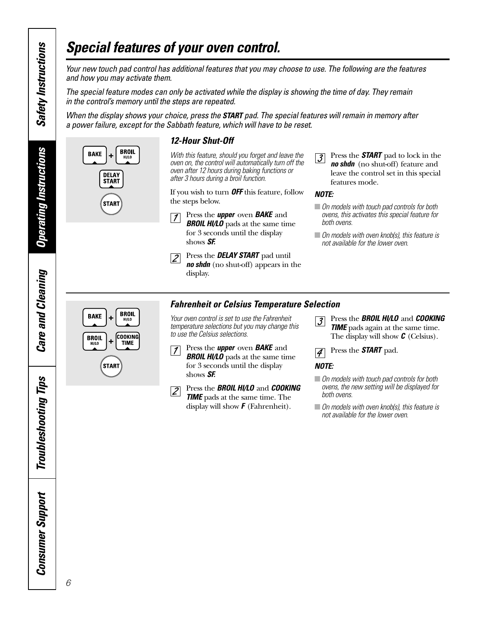## <span id="page-5-0"></span>*Special features of your oven control.*

*Your new touch pad control has additional features that you may choose to use. The following are the features and how you may activate them.* 

*The special feature modes can only be activated while the display is showing the time of day. They remain in the control's memory until the steps are repeated.* 

*When the display shows your choice, press the START pad. The special features will remain in memory after a power failure, except for the Sabbath feature, which will have to be reset.*



### *12-Hour Shut-Off*

*With this feature, should you forget and leave the oven on, the control will automatically turn off the oven after 12 hours during baking functions or after 3 hours during a broil function.*

If you wish to turn *OFF* this feature, follow the steps below.

- $\vert$  1
- Press the *upper* oven *BAKE* and *BROIL HI/LO* pads at the same time for 3 seconds until the display shows *SF.*
- Press the *DELAY START* pad until  $|2|$ *no shdn* (no shut-off) appears in the display.

Press the *START* pad to lock in the  $|.3|$ *no shdn* (no shut-off) feature and leave the control set in this special features mode.

### *NOTE:*

- *On models with touch pad controls for both ovens, this activates this special feature for both ovens.*
- *On models with oven knob(s), this feature is not available for the lower oven.*



Press the *upper* oven *BAKE* and *BROIL HI/LO* pads at the same time for 3 seconds until the display shows *SF.*

*Your oven control is set to use the Fahrenheit temperature selections but you may change this*

*to use the Celsius selections.*



 $\vert$  1



Press the *BROIL HI/LO* and *COOKING*

*Fahrenheit or Celsius Temperature Selection*



*TIME* pads at the same time. The display will show *F* (Fahrenheit).

Press the *BROIL HI/LO* and *COOKING*  $\overline{3}$ *TIME* pads again at the same time. The display will show *C* (Celsius).

Press the *START* pad.  $\overline{4}$ 

### *NOTE:*

- *On models with touch pad controls for both ovens, the new setting will be displayed for both ovens.*
- *On models with oven knob(s), this feature is not available for the lower oven.*

*Operating Instructions*

**Operating Instructions** 

*Care and Cleaning*

**Care and Cleaning** 

*Troubleshooting Tips*

**Troubleshooting Tips** 

*Consumer Support*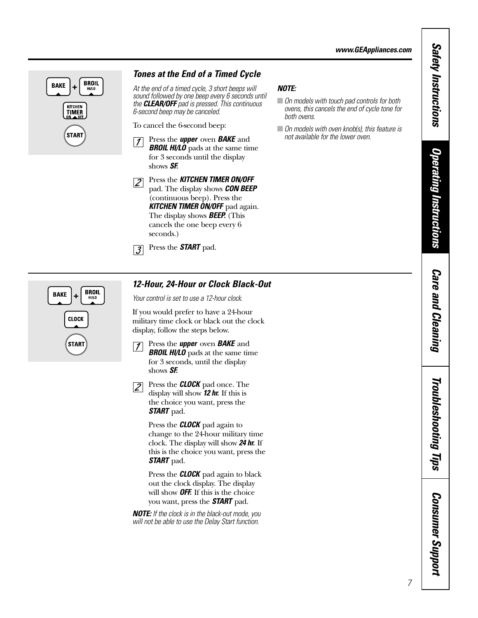## **BROIL BAKE** H/LO **KITCHEN**<br>TIMER **START**

### *Tones at the End of a Timed Cycle*

*At the end of a timed cycle, 3 short beeps will sound followed by one beep every 6 seconds until the CLEAR/OFF pad is pressed. This continuous 6-second beep may be canceled.*

To cancel the 6-second beep:

- Press the *upper* oven *BAKE* and  $|1|$ *BROIL HI/LO* pads at the same time for 3 seconds until the display shows *SF.*
- Press the *KITCHEN TIMER ON/OFF*  $\sqrt{2}$ pad. The display shows *CON BEEP* (continuous beep). Press the *KITCHEN TIMER ON/OFF* pad again. The display shows *BEEP.* (This cancels the one beep every 6 seconds.)

Press the *START* pad.  $\overline{3}$ 

### *NOTE:*

- *On models with touch pad controls for both ovens, this cancels the end of cycle tone for both ovens.*
- *On models with oven knob(s), this feature is not available for the lower oven.*



### *12-Hour, 24-Hour or Clock Black-Out*

*Your control is set to use a 12-hour clock.*

If you would prefer to have a 24-hour military time clock or black out the clock display, follow the steps below.

- Press the *upper* oven *BAKE* and  $|1|$ *BROIL HI/LO* pads at the same time for 3 seconds, until the display shows *SF.*
- Press the *CLOCK* pad once. The  $\sqrt{2}$ display will show *12 hr.* If this is the choice you want, press the *START* pad.

Press the *CLOCK* pad again to change to the 24-hour military time clock. The display will show *24 hr.* If this is the choice you want, press the *START* pad.

Press the *CLOCK* pad again to black out the clock display. The display will show *OFF.* If this is the choice you want, press the *START* pad.

*NOTE: If the clock is in the black-out mode, you will not be able to use the Delay Start function.*

*Care and Cleaning*

**Care and Cleaning** 

*Safety Instructions*

**Safety Instructions** 

*Operating Instructions*

**Operating Instructions** 

Troubleshooting Tips *Troubleshooting Tips*

*Consumer Support* **Consumer Support**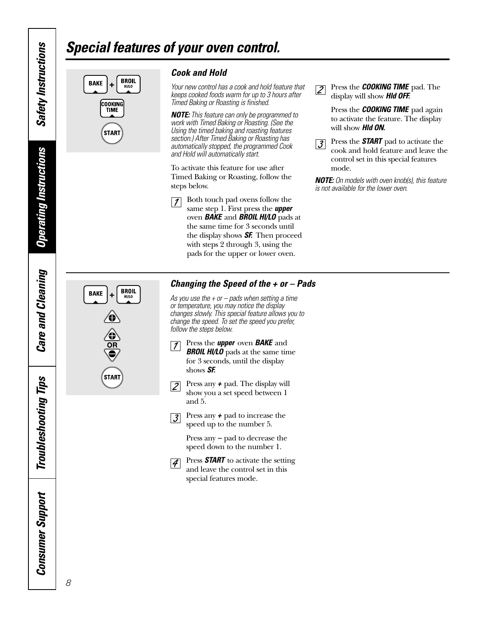## *Special features of your oven control.*



*Cook and Hold*

*Your new control has a cook and hold feature that keeps cooked foods warm for up to 3 hours after Timed Baking or Roasting is finished.* 

*NOTE: This feature can only be programmed to work with Timed Baking or Roasting. (See the Using the timed baking and roasting features section.) After Timed Baking or Roasting has automatically stopped, the programmed Cook and Hold will automatically start.*

To activate this feature for use after Timed Baking or Roasting, follow the steps below.

Both touch pad ovens follow the  $\sqrt{ }$ same step 1. First press the *upper* oven *BAKE* and *BROIL HI/LO* pads at the same time for 3 seconds until the display shows *SF.* Then proceed with steps 2 through 3, using the pads for the upper or lower oven.

Press the *COOKING TIME* pad. The  $\sqrt{2}$ display will show *Hld OFF.*

> Press the *COOKING TIME* pad again to activate the feature. The display will show *Hld ON.*

Press the *START* pad to activate the  $|\mathcal{J}|$ cook and hold feature and leave the control set in this special features mode.

*NOTE: On models with oven knob(s), this feature is not available for the lower oven.*

# $BROL$ H/LO **BAKE** STAR

### *Changing the Speed of the + or – Pads*

*As you use the + or – pads when setting a time or temperature, you may notice the display changes slowly. This special feature allows you to change the speed. To set the speed you prefer, follow the steps below.*

Press the *upper* oven *BAKE* and  $|1|$ *BROIL HI/LO* pads at the same time for 3 seconds, until the display

and 5.

- shows *SF.* Press any *+* pad. The display will  $|2|$ show you a set speed between 1
- Press any *+* pad to increase the  $|\mathcal{J}|$ speed up to the number 5.

Press any *–* pad to decrease the speed down to the number 1.

Press **START** to activate the setting  $|4|$ and leave the control set in this special features mode.

*Safety Instructions*

**Safety Instructions** 

8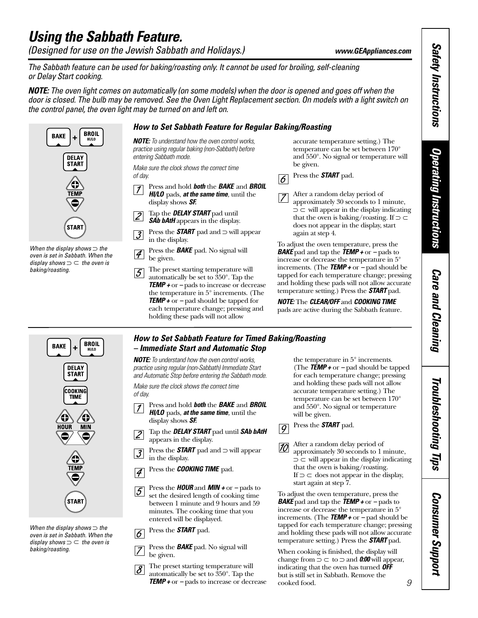## <span id="page-8-0"></span>*Using the Sabbath Feature.*

*(Designed for use on the Jewish Sabbath and Holidays.) www.GEAppliances.com*

*The Sabbath feature can be used for baking/roasting only. It cannot be used for broiling, self-cleaning or Delay Start cooking.* 

*NOTE: The oven light comes on automatically (on some models) when the door is opened and goes off when the door is closed. The bulb may be removed. See the Oven Light Replacement section. On models with a light switch on the control panel, the oven light may be turned on and left on.*



*When the display shows* ⊃ *the oven is set in Sabbath. When the display shows* ⊃ *the oven is* ⊃ *baking/roasting.*

- Press the *BAKE* pad. No signal will  $|\mathcal{A}|$ be given.
- The preset starting temperature will 5 automatically be set to 350°. Tap the *TEMP +* or *–* pads to increase or decrease the temperature in 5° increments. (The *TEMP +* or *–* pad should be tapped for each temperature change; pressing and holding these pads will not allow

*BAKE* pad and tap the *TEMP +* or *–* pads to increase or decrease the temperature in 5° increments. (The *TEMP +* or *–* pad should be tapped for each temperature change; pressing and holding these pads will not allow accurate temperature setting.) Press the *START* pad.

*NOTE:* The *CLEAR/OFF* and *COOKING TIME*  pads are active during the Sabbath feature.

### *How to Set Sabbath Feature for Timed Baking/Roasting – Immediate Start and Automatic Stop*

*NOTE: To understand how the oven control works, practice using regular (non-Sabbath) Immediate Start and Automatic Stop before entering the Sabbath mode.*

*Make sure the clock shows the correct time of day.*

- Press and hold *both* the *BAKE* and *BROIL*  $\vert \mathcal{I} \vert$ *HI/LO* pads, *at the same time*, until the display shows *SF.*
- Tap the *DELAY START* pad until *SAb bAtH*  $|2|$ appears in the display.
- Press the *START* pad and ⊃ will appear  $\vert \mathcal{J} \vert$ in the display.
- Press the *COOKING TIME* pad.  $\overline{\mathcal{A}}$
- Press the *HOUR* and *MIN +* or *–* pads to  $5\overline{)}$ set the desired length of cooking time between 1 minute and 9 hours and 59 minutes. The cooking time that you entered will be displayed.

Press the *START* pad.  $\overline{6}$ 

Press the *BAKE* pad. No signal will be given.

The preset starting temperature will  $|\mathcal{S}|$ automatically be set to 350°. Tap the *TEMP +* or *–* pads to increase or decrease the temperature in 5° increments. (The *TEMP +* or *–* pad should be tapped for each temperature change; pressing and holding these pads will not allow accurate temperature setting.) The temperature can be set between 170° and 550°. No signal or temperature will be given.

### Press the *START* pad.  $\overline{|g|}$

After a random delay period of 10 approximately 30 seconds to 1 minute, ⊃ will appear in the display indicating ⊃ that the oven is baking/roasting. If  $\supset \subset$  does not appear in the display, start again at step 7.

To adjust the oven temperature, press the *BAKE* pad and tap the *TEMP +* or *–* pads to increase or decrease the temperature in 5° increments. (The *TEMP +* or *–* pad should be tapped for each temperature change; pressing and holding these pads will not allow accurate temperature setting.) Press the *START* pad.

When cooking is finished, the display will change from  $\supset \subset$  to  $\supset$  and **0:00** will appear, indicating that the oven has turned *OFF* but is still set in Sabbath. Remove the cooked food.

Troubleshooting Tips *Troubleshooting Tips*

*Care and Cleaning*

**Care and Cleaning** 

*Consumer Support Consumer Support* 



*When the display shows* ⊃ *the oven is set in Sabbath. When the display shows* ⊃ *the oven is* ⊃*baking/roasting.*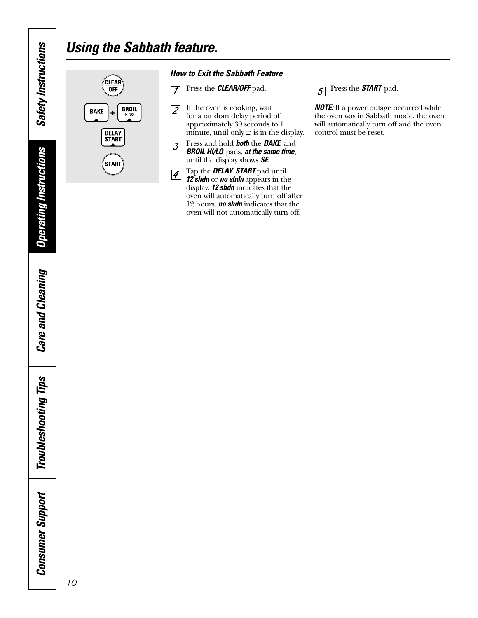## *Using the Sabbath feature.*



*How to Exit the Sabbath Feature*

- Press the *CLEAR/OFF* pad.  $\sqrt{ }$
- If the oven is cooking, wait  $\overline{2}$ for a random delay period of approximately 30 seconds to 1 minute, until only  $\supset$  is in the display.
- Press and hold *both* the *BAKE* and  $\sqrt{3}$ *BROIL HI/LO* pads, *at the same time*, until the display shows *SF.*
- Tap the *DELAY START* pad until  $\vert \mathcal{F} \vert$ *12 shdn* or *no shdn* appears in the display. *12 shdn* indicates that the oven will automatically turn off after 12 hours. *no shdn* indicates that the oven will not automatically turn off.

Press the *START* pad.  $\overline{5}$ 

*NOTE:* If a power outage occurred while the oven was in Sabbath mode, the oven will automatically turn off and the oven control must be reset.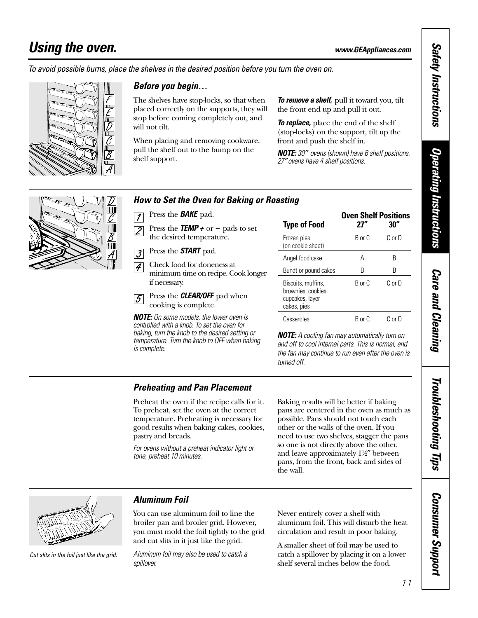## <span id="page-10-0"></span>*Using the oven. www.GEAppliances.com*

*To avoid possible burns, place the shelves in the desired position before you turn the oven on.*



### *Before you begin…*

The shelves have stop-locks, so that when placed correctly on the supports, they will stop before coming completely out, and will not tilt.

When placing and removing cookware, pull the shelf out to the bump on the shelf support.

*To remove a shelf,* pull it toward you, tilt the front end up and pull it out.

*To replace,* place the end of the shelf (stop-locks) on the support, tilt up the front and push the shelf in.

*NOTE: 30*″ *ovens (shown) have 6 shelf positions. 27*″*ovens have 4 shelf positions.*



### *How to Set the Oven for Baking or Roasting*

- Press the *BAKE* pad.  $\vert$  1
- Press the *TEMP +* or *–* pads to set  $\overline{Z}$ the desired temperature.
- Press the *START* pad.  $|\mathcal{J}|$
- Check food for doneness at  $\overline{4}$ minimum time on recipe. Cook longer if necessary.
- Press the *CLEAR/OFF* pad when  $\overline{5}$ cooking is complete.

*NOTE: On some models, the lower oven is controlled with a knob. To set the oven for baking, turn the knob to the desired setting or temperature. Turn the knob to OFF when baking is complete.* 

| <b>Type of Food</b>                                                        | <b>Oven Shelf Positions</b><br>77" | 30'                |
|----------------------------------------------------------------------------|------------------------------------|--------------------|
| Frozen pies<br>(on cookie sheet)                                           | R or C                             | $C_{0}$ or $D_{0}$ |
| Angel food cake                                                            | А                                  | R                  |
| Bundt or pound cakes                                                       | R                                  | R                  |
| Biscuits, muffins,<br>brownies, cookies,<br>cupcakes, layer<br>cakes, pies | R or C                             | $C_{0}$ or $D_{0}$ |
| Casseroles                                                                 | R or C                             | C or D             |

*NOTE: A cooling fan may automatically turn on and off to cool internal parts. This is normal, and the fan may continue to run even after the oven is turned off.*

### *Preheating and Pan Placement*

Preheat the oven if the recipe calls for it. To preheat, set the oven at the correct temperature. Preheating is necessary for good results when baking cakes, cookies, pastry and breads.

*For ovens without a preheat indicator light or tone, preheat 10 minutes.*

Baking results will be better if baking pans are centered in the oven as much as possible. Pans should not touch each other or the walls of the oven. If you need to use two shelves, stagger the pans so one is not directly above the other, and leave approximately 11⁄2″ between pans, from the front, back and sides of the wall.



*Cut slits in the foil just like the grid.*

### *Aluminum Foil*

You can use aluminum foil to line the broiler pan and broiler grid. However, you must mold the foil tightly to the grid and cut slits in it just like the grid.

*Aluminum foil may also be used to catch a spillover.*

Never entirely cover a shelf with aluminum foil. This will disturb the heat circulation and result in poor baking.

A smaller sheet of foil may be used to catch a spillover by placing it on a lower shelf several inches below the food.

**Safety Instructions** *Safety Instructions*

*Consumer Support*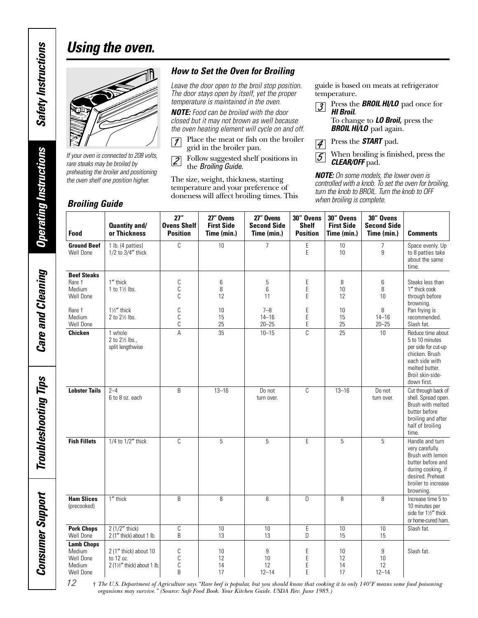## *Using the oven.*



*If your oven is connected to 208 volts, rare steaks may be broiled by preheating the broiler and positioning the oven shelf one position higher.*

### *Broiling Guide*

### *How to Set the Oven for Broiling*

*Leave the door open to the broil stop position. The door stays open by itself, yet the proper temperature is maintained in the oven.*

*NOTE: Food can be broiled with the door closed but it may not brown as well because the oven heating element will cycle on and off.*

Place the meat or fish on the broiler  $\sqrt{7}$ grid in the broiler pan.

Follow suggested shelf positions in  $\sqrt{2}$ the *Broiling Guide.*

The size, weight, thickness, starting temperature and your preference of doneness will affect broiling times. This

guide is based on meats at refrigerator temperature.

Press the *BROIL HI/LO* pad once for  $|\mathcal{J}|$ *HI Broil.* To change to *LO Broil,* press the

**BROIL HI/LO** pad again.

Press the *START* pad.  $\vert \mathcal{A} \vert$ 

When broiling is finished, press the  $\overline{5}$ *CLEAR/OFF* pad.

*NOTE: On some models, the lower oven is controlled with a knob. To set the oven for broiling, turn the knob to BROIL. Turn the knob to OFF*

| Food                                                            | Quantity and/<br>or Thickness                                   | 27"<br><b>Ovens Shelf</b><br><b>Position</b> | 27" Ovens<br><b>First Side</b><br>Time (min.) | 27" Ovens<br><b>Second Side</b><br>Time (min.) | 30" Ovens<br><b>Shelf</b><br><b>Position</b> | 30" Ovens<br><b>First Side</b><br>Time (min.) | 30" Ovens<br><b>Second Side</b><br>Time (min.) | <b>Comments</b>                                                                                                                                           |
|-----------------------------------------------------------------|-----------------------------------------------------------------|----------------------------------------------|-----------------------------------------------|------------------------------------------------|----------------------------------------------|-----------------------------------------------|------------------------------------------------|-----------------------------------------------------------------------------------------------------------------------------------------------------------|
| <b>Ground Beef</b><br>Well Done                                 | 1 lb. (4 patties)<br>1/2 to 3/4" thick                          | C                                            | 10                                            | $\overline{7}$                                 | Ε<br>E                                       | 10<br>10                                      | $\overline{7}$<br>9                            | Space evenly. Up<br>to 8 patties take<br>about the same<br>time.                                                                                          |
| <b>Beef Steaks</b><br>Rare t<br>Medium<br>Well Done             | 1" thick<br>1 to $1\frac{1}{2}$ lbs.                            | C<br>C<br>C                                  | 6<br>8<br>12                                  | 5<br>6<br>11                                   | Ε<br>E<br>E                                  | 8<br>10<br>12                                 | 6<br>8<br>10                                   | Steaks less than<br>1" thick cook<br>through before<br>browning.                                                                                          |
| Rare t<br>Medium<br>Well Done                                   | $1\frac{1}{2}$ thick<br>2 to 21/2 lbs.                          | C<br>$\mathbb C$<br>$\mathbb C$              | 10<br>15<br>25                                | $7 - 8$<br>$14 - 16$<br>$20 - 25$              | E<br>E<br>E                                  | 10<br>15<br>25                                | 8<br>$14 - 16$<br>$20 - 25$                    | Pan frying is<br>recommended.<br>Slash fat.                                                                                                               |
| <b>Chicken</b>                                                  | 1 whole<br>2 to 21/2 lbs.,<br>split lengthwise                  | A                                            | 35                                            | $10 - 15$                                      | $\mathcal{C}$                                | 25                                            | 10 <sup>°</sup>                                | Reduce time about<br>5 to 10 minutes<br>per side for cut-up<br>chicken. Brush<br>each side with<br>melted butter.<br>Broil skin-side-<br>down first.      |
| <b>Lobster Tails</b>                                            | $2 - 4$<br>6 to 8 oz. each                                      | B                                            | $13 - 16$                                     | Do not<br>turn over.                           | C                                            | $13 - 16$                                     | Do not<br>turn over.                           | Cut through back of<br>shell. Spread open.<br>Brush with melted<br>butter before<br>broiling and after<br>half of broiling<br>time.                       |
| <b>Fish Fillets</b>                                             | 1/4 to 1/2" thick                                               | C                                            | 5                                             | 5                                              | E                                            | 5                                             | 5                                              | Handle and turn<br>very carefully.<br>Brush with lemon<br>butter before and<br>during cooking, if<br>desired. Preheat<br>broiler to increase<br>browning. |
| <b>Ham Slices</b><br>(precooked)                                | 1" thick                                                        | B                                            | 8                                             | 8                                              | D                                            | 8                                             | 8                                              | Increase time 5 to<br>10 minutes per<br>side for 11/2" thick<br>or home-cured ham.                                                                        |
| <b>Pork Chops</b><br>Well Done                                  | 2 (1/2" thick)<br>2 (1" thick) about 1 lb.                      | C<br>B                                       | 10<br>13                                      | 10<br>13                                       | E<br>D                                       | 10<br>15                                      | 10<br>15                                       | Slash fat.                                                                                                                                                |
| <b>Lamb Chops</b><br>Medium<br>Well Done<br>Medium<br>Well Done | 2 (1" thick) about 10<br>to 12 oz.<br>2 (1½" thick) about 1 lb. | $\mathbb C$<br>C<br>$\mathbb C$<br>B         | 10<br>12<br>14<br>17                          | 9<br>10<br>12<br>$12 - 14$                     | E<br>E<br>E<br>E                             | 10<br>12<br>14<br>17                          | 9<br>10<br>12<br>$12 - 14$                     | Slash fat.                                                                                                                                                |

† *The U.S. Department of Agriculture says "Rare beef is popular, but you should know that cooking it to only 140°F means some food poisoning organisms may survive." (Source: Safe Food Book. Your Kitchen Guide. USDA Rev. June 1985.)*

*Operating Instructions*

**Operating Instructions** 

*Care and Cleaning*

**Care and Cleaning** 

*Troubleshooting Tips*

**Troubleshooting Tips** 

*Consumer Support*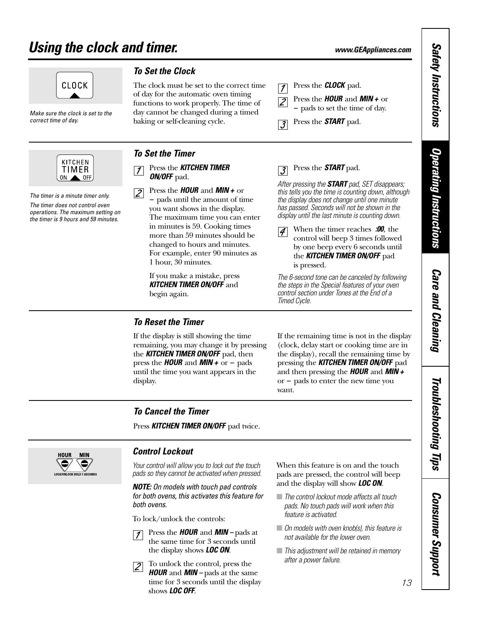## <span id="page-12-0"></span>*Using the clock and timer. www.GEAppliances.com*



*Make sure the clock is set to the correct time of day.*



*The timer is a minute timer only. The timer does not control oven operations. The maximum setting on the timer is 9 hours and 59 minutes.* 

### *To Set the Clock*

*To Set the Timer*

 $\vert$  1

 $|2|$ 

*ON/OFF* pad.

The clock must be set to the correct time of day for the automatic oven timing functions to work properly. The time of day cannot be changed during a timed baking or self-cleaning cycle.

Press the *KITCHEN TIMER* 

Press the *HOUR* and *MIN +* or *–* pads until the amount of time you want shows in the display. The maximum time you can enter in minutes is 59. Cooking times more than 59 minutes should be changed to hours and minutes. For example, enter 90 minutes as

 $\cdot$ 3

Press the *CLOCK* pad.

Press the *START* pad.

Press the *HOUR* and *MIN +* or *–* pads to set the time of day.

### Press the *START* pad.  $\overline{.3}$

*After pressing the START pad, SET disappears; this tells you the time is counting down, although the display does not change until one minute has passed. Seconds will not be shown in the display until the last minute is counting down.*

When the timer reaches *:00*, the  $|\mathcal{A}|$ control will beep 3 times followed by one beep every 6 seconds until the *KITCHEN TIMER ON/OFF* pad is pressed.

*The 6-second tone can be canceled by following the steps in the Special features of your oven control section under Tones at the End of a Timed Cycle.*

### *To Reset the Timer*

begin again.

1 hour, 30 minutes.

If you make a mistake, press *KITCHEN TIMER ON/OFF* and

If the display is still showing the time remaining, you may change it by pressing the *KITCHEN TIMER ON/OFF* pad, then press the *HOUR* and *MIN +* or *–* pads until the time you want appears in the display.

If the remaining time is not in the display (clock, delay start or cooking time are in the display), recall the remaining time by pressing the *KITCHEN TIMER ON/OFF* pad and then pressing the *HOUR* and *MIN +* or *–* pads to enter the new time you want.

### *To Cancel the Timer*

Press **KITCHEN TIMER ON/OFF** pad twice.



### *Control Lockout*

*Your control will allow you to lock out the touch pads so they cannot be activated when pressed.*

*NOTE: On models with touch pad controls for both ovens, this activates this feature for both ovens.*

To lock/unlock the controls:

- Press the *HOUR* and *MIN* pads at  $|1|$ the same time for 3 seconds until the display shows *LOC ON*.
- To unlock the control, press the  $|2|$ *HOUR* and *MIN –* pads at the same time for 3 seconds until the display shows *LOC OFF*.

When this feature is on and the touch pads are pressed, the control will beep and the display will show *LOC ON*.

- *The control lockout mode affects all touch pads. No touch pads will work when this feature is activated.*
- *On models with oven knob(s), this feature is not available for the lower oven.*
- *This adjustment will be retained in memory after a power failure.*

**Safety Instructions** *Safety Instructions* **Operating Instructions** *Operating Instructions*

> **Care and Cleaning** *Care and Cleaning*

Troubleshooting Tips *Troubleshooting Tips*

> **Consumer Support** *Consumer Support*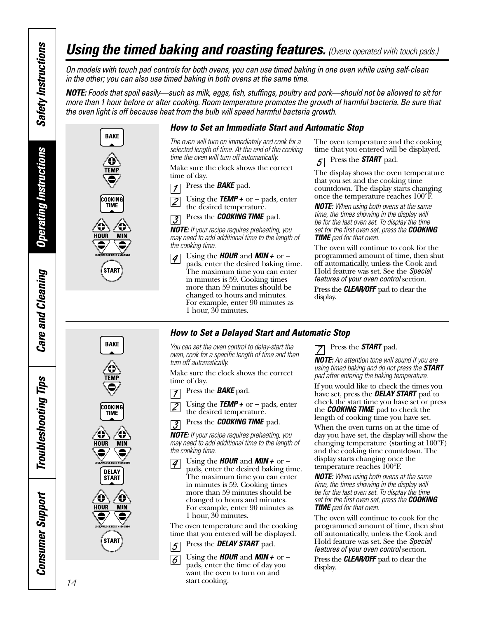## *Using the timed baking and roasting features. (Ovens operated with touch pads.)*

*On models with touch pad controls for both ovens, you can use timed baking in one oven while using self-clean in the other; you can also use timed baking in both ovens at the same time.*

*NOTE: Foods that spoil easily—such as milk, eggs, fish, stuffings, poultry and pork—should not be allowed to sit for more than 1 hour before or after cooking. Room temperature promotes the growth of harmful bacteria. Be sure that the oven light is off because heat from the bulb will speed harmful bacteria growth.*





**BAKE** 

**TFM** 

**COOKING**<br>TIME

**DELAY START** 

O **MIN** 

€

0

**MIN** 9

О

**HOUR** 

0 **OCK/UNLOCK HOLD 3 SE** 

**HOUR** 

### *How to Set an Immediate Start and Automatic Stop*

*The oven will turn on immediately and cook for a selected length of time. At the end of the cooking time the oven will turn off automatically.*

Make sure the clock shows the correct time of day.

- Press the *BAKE* pad.  $\overline{1}$
- Using the *TEMP +* or *–* pads, enter  $\overline{Z}$ the desired temperature.
- Press the *COOKING TIME* pad.  $\vert$  3

*NOTE: If your recipe requires preheating, you may need to add additional time to the length of the cooking time.*

Using the *HOUR* and *MIN +* or *–*  $|4|$ pads, enter the desired baking time. The maximum time you can enter in minutes is 59. Cooking times more than 59 minutes should be changed to hours and minutes. For example, enter 90 minutes as 1 hour, 30 minutes.

The oven temperature and the cooking time that you entered will be displayed.

Press the *START* pad.  $|\mathcal{S}|$ 

The display shows the oven temperature that you set and the cooking time countdown. The display starts changing once the temperature reaches 100°F.

*NOTE: When using both ovens at the same time, the times showing in the display will be for the last oven set. To display the time set for the first oven set, press the COOKING TIME pad for that oven.*

The oven will continue to cook for the programmed amount of time, then shut off automatically, unless the Cook and Hold feature was set. See the *Special features of your oven control* section.

Press the *CLEAR/OFF* pad to clear the display.

### *How to Set a Delayed Start and Automatic Stop*

*You can set the oven control to delay-start the oven, cook for a specific length of time and then turn off automatically.*

Make sure the clock shows the correct time of day.

- Press the *BAKE* pad.  $\vert$  1
- Using the *TEMP +* or *–* pads, enter  $\overline{Z}$ the desired temperature.

Press the *COOKING TIME* pad.  $\overline{\mathcal{S}}$ 

*NOTE: If your recipe requires preheating, you may need to add additional time to the length of the cooking time.*

Using the *HOUR* and *MIN +* or *–*  $|4|$ pads, enter the desired baking time. The maximum time you can enter in minutes is 59. Cooking times more than 59 minutes should be changed to hours and minutes. For example, enter 90 minutes as 1 hour, 30 minutes.

The oven temperature and the cooking time that you entered will be displayed.

Press the *DELAY START* pad. 5

Using the *HOUR* and *MIN +* or *–* pads, enter the time of day you  $\vert 6 \vert$ want the oven to turn on and start cooking.

Press the *START* pad.

*NOTE: An attention tone will sound if you are using timed baking and do not press the START pad after entering the baking temperature.*

If you would like to check the times you have set, press the *DELAY START* pad to check the start time you have set or press the **COOKING TIME** pad to check the length of cooking time you have set.

When the oven turns on at the time of day you have set, the display will show the changing temperature (starting at 100°F) and the cooking time countdown. The display starts changing once the temperature reaches 100°F.

*NOTE: When using both ovens at the same time, the times showing in the display will be for the last oven set. To display the time set for the first oven set, press the COOKING TIME pad for that oven.*

The oven will continue to cook for the programmed amount of time, then shut off automatically, unless the Cook and Hold feature was set. See the *Special features of your oven control* section.

Press the *CLEAR/OFF* pad to clear the display.

**Operating Instructions** *Operating Instructions*

*Safety Instructions*

<span id="page-13-0"></span>**Safety Instructions** 

**Troubleshooting Tips** *Troubleshooting Tips Consumer Support***Consumer Support** 

14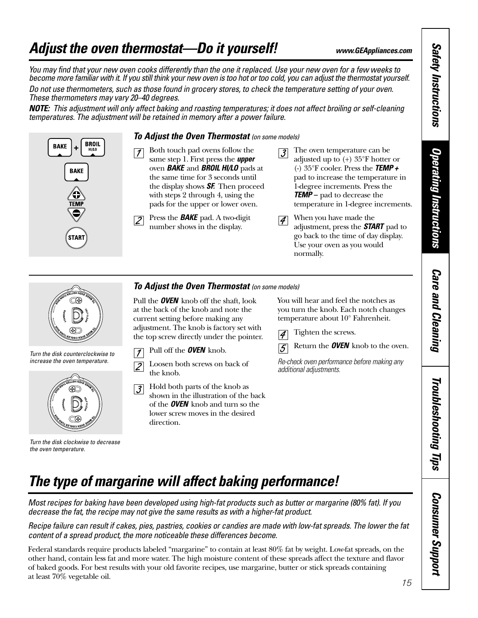## <span id="page-14-0"></span>*Adjust the oven thermostat—Do it yourself! www.GEAppliances.com*

*You may find that your new oven cooks differently than the one it replaced. Use your new oven for a few weeks to become more familiar with it. If you still think your new oven is too hot or too cold, you can adjust the thermostat yourself. Do not use thermometers, such as those found in grocery stores, to check the temperature setting of your oven. These thermometers may vary 20–40 degrees.*

*NOTE: This adjustment will only affect baking and roasting temperatures; it does not affect broiling or self-cleaning temperatures. The adjustment will be retained in memory after a power failure.*



### *To Adjust the Oven Thermostat (on some models)*

- Both touch pad ovens follow the  $\vert \mathcal{I} \vert$ same step 1. First press the *upper* oven *BAKE* and *BROIL HI/LO* pads at the same time for 3 seconds until the display shows *SF.* Then proceed with steps 2 through 4, using the pads for the upper or lower oven.
- Press the *BAKE* pad. A two-digit  $\sqrt{2}$ number shows in the display.
- The oven temperature can be  $|3|$ adjusted up to (+) 35°F hotter or (-) 35°F cooler. Press the *TEMP +* pad to increase the temperature in 1-degree increments. Press the *TEMP –* pad to decrease the temperature in 1-degree increments.
- When you have made the  $\vert \mathcal{J} \vert$ adjustment, press the *START* pad to go back to the time of day display. Use your oven as you would normally.



*Turn the disk counterclockwise to increase the oven temperature.*



*Turn the disk clockwise to decrease the oven temperature.*

### *To Adjust the Oven Thermostat (on some models)*

Pull the *OVEN* knob off the shaft, look at the back of the knob and note the current setting before making any adjustment. The knob is factory set with the top screw directly under the pointer.

- Pull off the *OVEN* knob.  $\vert$  1
- Loosen both screws on back of  $\overline{2}$ the knob.
- Hold both parts of the knob as  $|\mathcal{J}|$ shown in the illustration of the back of the *OVEN* knob and turn so the lower screw moves in the desired direction.

You will hear and feel the notches as you turn the knob. Each notch changes temperature about 10° Fahrenheit.

Tighten the screws.  $|\mathcal{A}$ 



*Re-check oven performance before making any additional adjustments.*

## *The type of margarine will affect baking performance!*

*Most recipes for baking have been developed using high-fat products such as butter or margarine (80% fat). If you decrease the fat, the recipe may not give the same results as with a higher-fat product.*

*Recipe failure can result if cakes, pies, pastries, cookies or candies are made with low-fat spreads. The lower the fat content of a spread product, the more noticeable these differences become.* 

15 Federal standards require products labeled "margarine" to contain at least 80% fat by weight. Low-fat spreads, on the other hand, contain less fat and more water. The high moisture content of these spreads affect the texture and flavor of baked goods. For best results with your old favorite recipes, use margarine, butter or stick spreads containing at least 70% vegetable oil.

**Safety Instructions** *Safety Instructions*

*Operating Instructions*

**Operating Instructions** 

*Care and Cleaning*

**Care and Cleaning** 

*Troubleshooting Tips*

Troubleshooting Tips

*Consumer Support*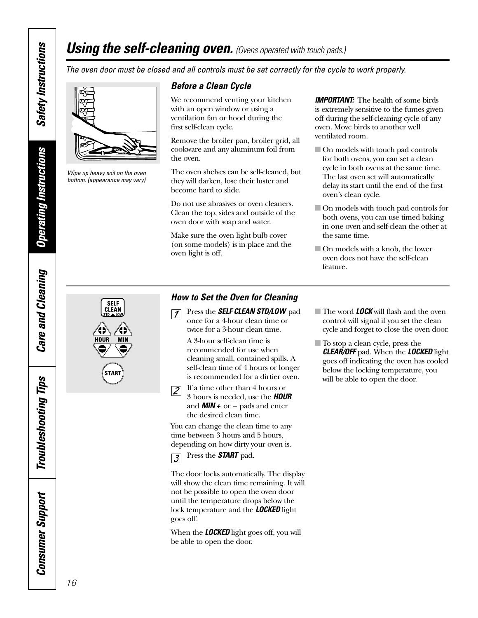## <span id="page-15-0"></span>*Using the self-cleaning oven. (Ovens operated with touch pads.)*

*The oven door must be closed and all controls must be set correctly for the cycle to work properly.*



*Wipe up heavy soil on the oven bottom. (appearance may vary)*

**SELF CLEAN** 

### *Before a Clean Cycle*

We recommend venting your kitchen with an open window or using a ventilation fan or hood during the first self-clean cycle.

Remove the broiler pan, broiler grid, all cookware and any aluminum foil from the oven.

The oven shelves can be self-cleaned, but they will darken, lose their luster and become hard to slide.

Do not use abrasives or oven cleaners. Clean the top, sides and outside of the oven door with soap and water.

Make sure the oven light bulb cover (on some models) is in place and the oven light is off.

*IMPORTANT:* The health of some birds is extremely sensitive to the fumes given off during the self-cleaning cycle of any oven. Move birds to another well ventilated room.

- On models with touch pad controls for both ovens, you can set a clean cycle in both ovens at the same time. The last oven set will automatically delay its start until the end of the first oven's clean cycle.
- On models with touch pad controls for both ovens, you can use timed baking in one oven and self-clean the other at the same time.
- On models with a knob, the lower oven does not have the self-clean feature.

### *How to Set the Oven for Cleaning*

Press the *SELF CLEAN STD/LOW* pad  $\sqrt{7}$ once for a 4-hour clean time or twice for a 3-hour clean time.

A 3-hour self-clean time is recommended for use when cleaning small, contained spills. A self-clean time of 4 hours or longer is recommended for a dirtier oven.



the desired clean time. You can change the clean time to any time between 3 hours and 5 hours,

depending on how dirty your oven is.



The door locks automatically. The display will show the clean time remaining. It will not be possible to open the oven door until the temperature drops below the lock temperature and the *LOCKED* light goes off.

When the *LOCKED* light goes off, you will be able to open the door.

- The word *LOCK* will flash and the oven control will signal if you set the clean cycle and forget to close the oven door.
- To stop a clean cycle, press the *CLEAR/OFF* pad. When the *LOCKED* light goes off indicating the oven has cooled below the locking temperature, you will be able to open the door.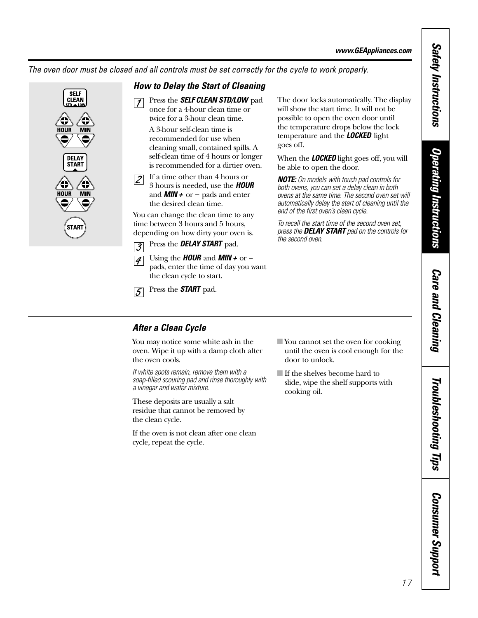*The oven door must be closed and all controls must be set correctly for the cycle to work properly.*



### *How to Delay the Start of Cleaning*

Press the **SELF CLEAN STD/LOW** pad  $\vert \mathcal{I} \vert$ once for a 4-hour clean time or twice for a 3-hour clean time.

> A 3-hour self-clean time is recommended for use when cleaning small, contained spills. A self-clean time of 4 hours or longer is recommended for a dirtier oven.

If a time other than 4 hours or  $|2|$ 3 hours is needed, use the *HOUR* and *MIN +* or *–* pads and enter the desired clean time.

You can change the clean time to any time between 3 hours and 5 hours, depending on how dirty your oven is.

- Press the *DELAY START* pad.  $\overline{3}$
- Using the *HOUR* and *MIN +* or *–*  $\vert \mathcal{A} \vert$ pads, enter the time of day you want the clean cycle to start.
- Press the *START* pad.  $\overline{5}$

The door locks automatically. The display will show the start time. It will not be possible to open the oven door until the temperature drops below the lock temperature and the *LOCKED* light goes off.

When the *LOCKED* light goes off, you will be able to open the door.

*NOTE: On models with touch pad controls for both ovens, you can set a delay clean in both ovens at the same time. The second oven set will automatically delay the start of cleaning until the end of the first oven's clean cycle.*

*To recall the start time of the second oven set, press the DELAY START pad on the controls for the second oven.*

### *After a Clean Cycle*

You may notice some white ash in the oven. Wipe it up with a damp cloth after the oven cools.

*If white spots remain, remove them with a soap-filled scouring pad and rinse thoroughly with a vinegar and water mixture.* 

These deposits are usually a salt residue that cannot be removed by the clean cycle.

If the oven is not clean after one clean cycle, repeat the cycle.

- You cannot set the oven for cooking until the oven is cool enough for the door to unlock.
- If the shelves become hard to slide, wipe the shelf supports with cooking oil.

# **Safety Instructions** *Safety Instructions*

# **Operating Instructions** *Operating Instructions*

**Care and Cleaning** *Care and Cleaning*

*Consumer Support*

**Consumer Support** 

17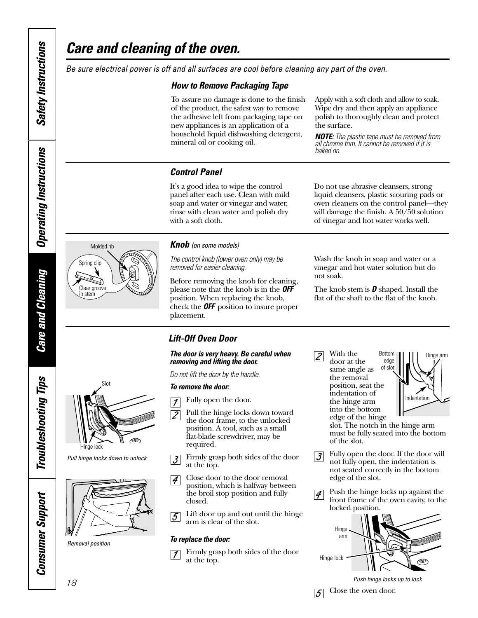*Care and Cleaning*

**Care and Cleaning** 

*Troubleshooting Tips*

**Troubleshooting Tips** 

*Consumer Support*

**Consumer Support** 

## <span id="page-17-0"></span>*Care and cleaning of the oven.*

*Be sure electrical power is off and all surfaces are cool before cleaning any part of the oven.*

### *How to Remove Packaging Tape*

To assure no damage is done to the finish of the product, the safest way to remove the adhesive left from packaging tape on new appliances is an application of a household liquid dishwashing detergent, mineral oil or cooking oil.

Apply with a soft cloth and allow to soak. Wipe dry and then apply an appliance polish to thoroughly clean and protect the surface.

*NOTE: The plastic tape must be removed from all chrome trim. It cannot be removed if it is baked on.*

Do not use abrasive cleansers, strong liquid cleansers, plastic scouring pads or oven cleaners on the control panel—they will damage the finish. A 50/50 solution of vinegar and hot water works well.

### *Control Panel*

It's a good idea to wipe the control panel after each use. Clean with mild soap and water or vinegar and water, rinse with clean water and polish dry with a soft cloth.

# Molded rib

Spring clip

Clear groove in stem

⊴े

### *Knob (on some models)*

*The control knob (lower oven only) may be removed for easier cleaning.* 

Before removing the knob for cleaning, please note that the knob is in the *OFF* position. When replacing the knob, check the *OFF* position to insure proper placement.

Wash the knob in soap and water or a vinegar and hot water solution but do not soak.

The knob stem is *D* shaped. Install the flat of the shaft to the flat of the knob.

### *Lift-Off Oven Door*

### *The door is very heavy. Be careful when removing and lifting the door.*

Pull the hinge locks down toward

Firmly grasp both sides of the door

Lift door up and out until the hinge

Close door to the door removal position, which is halfway between the broil stop position and fully

*Do not lift the door by the handle.* 

### *To remove the door:*

at the top.

closed.

*To replace the door:*

Fully open the door.  $\overline{\mathcal{I}}$ 

With the  $\overline{2}$ 

door at the same angle as the removal position, seat the indentation of the hinge arm into the bottom edge of the hinge Bottom edge of slot



slot. The notch in the hinge arm must be fully seated into the bottom of the slot.

- Fully open the door. If the door will  $|\mathcal{J}|$ not fully open, the indentation is not seated correctly in the bottom edge of the slot.
- Push the hinge locks up against the  $|\mathcal{J}|$ front frame of the oven cavity, to the locked position.



*Push hinge locks up to lock*



*Pull hinge locks down to unlock*



*Removal position*

 $\overline{\mathcal{Z}}$ the door frame, to the unlocked position. A tool, such as a small flat-blade screwdriver, may be required.

 $|\mathcal{J}|$ 

 $|4\rangle$ 

 $|5|$ 



Firmly grasp both sides of the door  $\overline{\mathcal{I}}$ at the top.

arm is clear of the slot.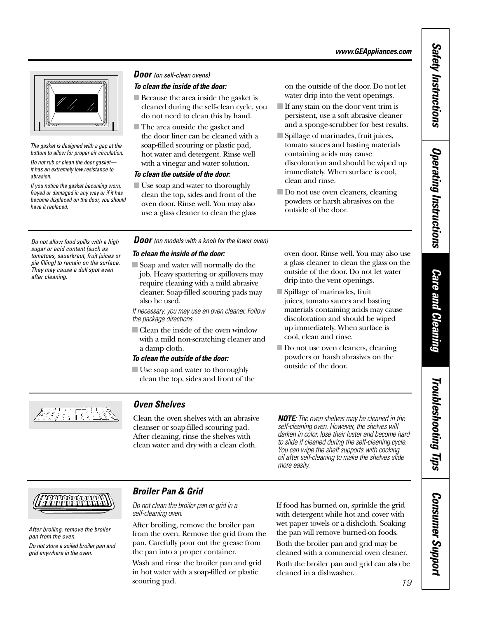<span id="page-18-0"></span>

*The gasket is designed with a gap at the bottom to allow for proper air circulation.*

*Do not rub or clean the door gasket it has an extremely low resistance to abrasion.* 

*If you notice the gasket becoming worn, frayed or damaged in any way or if it has become displaced on the door, you should have it replaced.*

### *To clean the inside of the door: Door (on self-clean ovens)*

■ Because the area inside the gasket is cleaned during the self-clean cycle, you do not need to clean this by hand.

■ The area outside the gasket and the door liner can be cleaned with a soap-filled scouring or plastic pad, hot water and detergent. Rinse well with a vinegar and water solution.

### *To clean the outside of the door:*

■ Use soap and water to thoroughly clean the top, sides and front of the oven door. Rinse well. You may also use a glass cleaner to clean the glass

on the outside of the door. Do not let water drip into the vent openings.

- If any stain on the door vent trim is persistent, use a soft abrasive cleaner and a sponge-scrubber for best results.
- Spillage of marinades, fruit juices, tomato sauces and basting materials containing acids may cause discoloration and should be wiped up immediately. When surface is cool, clean and rinse.
- Do not use oven cleaners, cleaning powders or harsh abrasives on the outside of the door.

*sugar or acid content (such as tomatoes, sauerkraut, fruit juices or pie filling) to remain on the surface. They may cause a dull spot even after cleaning.*

### *Do not allow food spills with a high Door (on models with a knob for the lower oven)*

### *To clean the inside of the door:*

■ Soap and water will normally do the job. Heavy spattering or spillovers may require cleaning with a mild abrasive cleaner. Soap-filled scouring pads may also be used.

*If necessary, you may use an oven cleaner. Follow the package directions.* 

■ Clean the inside of the oven window with a mild non-scratching cleaner and a damp cloth.

### *To clean the outside of the door:*

■ Use soap and water to thoroughly clean the top, sides and front of the oven door. Rinse well. You may also use a glass cleaner to clean the glass on the outside of the door. Do not let water drip into the vent openings.

- Spillage of marinades, fruit juices, tomato sauces and basting materials containing acids may cause discoloration and should be wiped up immediately. When surface is cool, clean and rinse.
- Do not use oven cleaners, cleaning powders or harsh abrasives on the outside of the door.



### *Oven Shelves*

Clean the oven shelves with an abrasive cleanser or soap-filled scouring pad. After cleaning, rinse the shelves with clean water and dry with a clean cloth.

*NOTE: The oven shelves may be cleaned in the self-cleaning oven. However, the shelves will darken in color, lose their luster and become hard to slide if cleaned during the self-cleaning cycle. You can wipe the shelf supports with cooking oil after self-cleaning to make the shelves slide more easily.*



*After broiling, remove the broiler pan from the oven.*

*Do not store a soiled broiler pan and grid anywhere in the oven.*

### *Broiler Pan & Grid*

*Do not clean the broiler pan or grid in a self-cleaning oven.*

After broiling, remove the broiler pan from the oven. Remove the grid from the pan. Carefully pour out the grease from the pan into a proper container.

Wash and rinse the broiler pan and grid in hot water with a soap-filled or plastic scouring pad.

If food has burned on, sprinkle the grid with detergent while hot and cover with wet paper towels or a dishcloth. Soaking the pan will remove burned-on foods.

Both the broiler pan and grid may be cleaned with a commercial oven cleaner.

Both the broiler pan and grid can also be cleaned in a dishwasher.

# **Care and Cleaning** *Care and Cleaning*

*Operating Instructions*

**Operating Instructions** 

# Troubleshooting Tips *Troubleshooting Tips*

# *Consumer Support* **Consumer Support**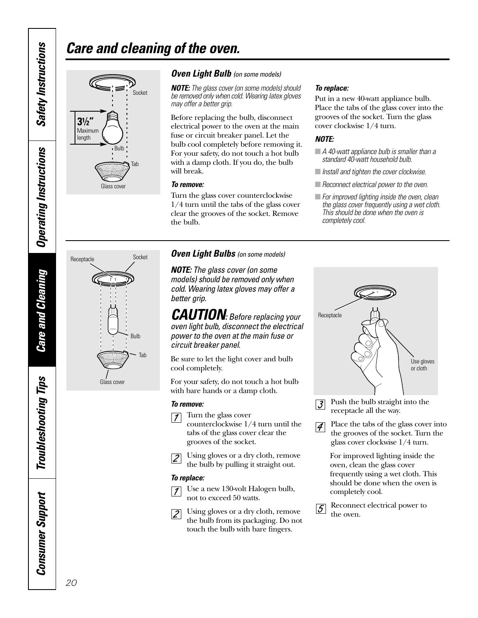## *Care and cleaning of the oven.*



### *Oven Light Bulb (on some models)*

*NOTE: The glass cover (on some models) should be removed only when cold. Wearing latex gloves may offer a better grip.*

Before replacing the bulb, disconnect electrical power to the oven at the main fuse or circuit breaker panel. Let the bulb cool completely before removing it. For your safety, do not touch a hot bulb with a damp cloth. If you do, the bulb will break.

### *To remove:*

Turn the glass cover counterclockwise 1/4 turn until the tabs of the glass cover clear the grooves of the socket. Remove the bulb.

### *Oven Light Bulbs (on some models)*

*NOTE: The glass cover (on some models) should be removed only when cold. Wearing latex gloves may offer a better grip.*

*CAUTION: Before replacing your oven light bulb, disconnect the electrical power to the oven at the main fuse or circuit breaker panel.* 

Be sure to let the light cover and bulb cool completely.

For your safety, do not touch a hot bulb with bare hands or a damp cloth.

### *To remove:*

Turn the glass cover  $\overline{1}$ counterclockwise 1/4 turn until the tabs of the glass cover clear the grooves of the socket.

Using gloves or a dry cloth, remove  $|2|$ the bulb by pulling it straight out.

### *To replace:*

Use a new 130-volt Halogen bulb,  $\overline{1}$ not to exceed 50 watts.

Using gloves or a dry cloth, remove  $|2|$ the bulb from its packaging. Do not touch the bulb with bare fingers.

### *To replace:*

Put in a new 40-watt appliance bulb. Place the tabs of the glass cover into the grooves of the socket. Turn the glass cover clockwise 1/4 turn.

### *NOTE:*

**Receptacle** 

- *A 40-watt appliance bulb is smaller than a standard 40-watt household bulb.*
- *Install and tighten the cover clockwise.*
- *Reconnect electrical power to the oven.*
- *For improved lighting inside the oven, clean the glass cover frequently using a wet cloth. This should be done when the oven is completely cool.*



- Push the bulb straight into the  $\mathcal{Z}$ receptacle all the way.
- Place the tabs of the glass cover into  $\vert \mathcal{A} \vert$ the grooves of the socket. Turn the glass cover clockwise 1/4 turn.

For improved lighting inside the oven, clean the glass cover frequently using a wet cloth. This should be done when the oven is completely cool.

Reconnect electrical power to  $|5|$ the oven.



Bulb

Glass cover

Tab

Socket

**Troubleshooting Tips** *Troubleshooting Tips* **Consumer Support** *Consumer Support*

*Safety Instructions*

<span id="page-19-0"></span>**Safety Instructions** 

*Operating Instructions*

**Operating Instructions** 

*Care and Cleaning*

**Care and Cleaning**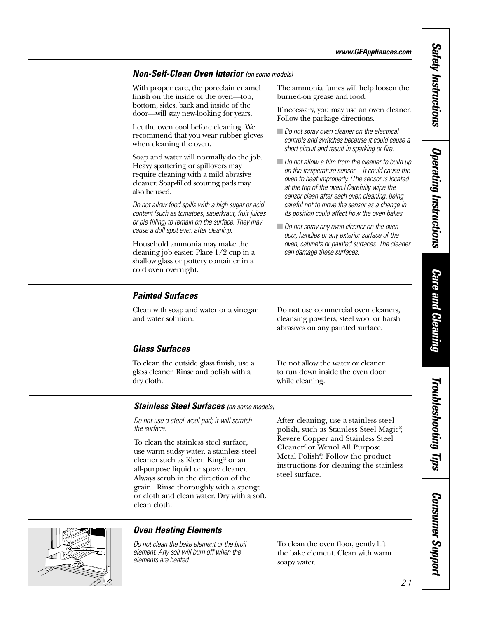### <span id="page-20-0"></span>*Non-Self-Clean Oven Interior (on some models)*

With proper care, the porcelain enamel finish on the inside of the oven—top, bottom, sides, back and inside of the door—will stay new-looking for years.

Let the oven cool before cleaning. We recommend that you wear rubber gloves when cleaning the oven.

Soap and water will normally do the job. Heavy spattering or spillovers may require cleaning with a mild abrasive cleaner. Soap-filled scouring pads may also be used.

*Do not allow food spills with a high sugar or acid content (such as tomatoes, sauerkraut, fruit juices or pie filling) to remain on the surface. They may cause a dull spot even after cleaning.*

Household ammonia may make the cleaning job easier. Place 1/2 cup in a shallow glass or pottery container in a cold oven overnight.

*Painted Surfaces*

Clean with soap and water or a vinegar and water solution.

The ammonia fumes will help loosen the burned-on grease and food.

If necessary, you may use an oven cleaner. Follow the package directions.

- *Do not spray oven cleaner on the electrical controls and switches because it could cause a short circuit and result in sparking or fire.*
- *Do not allow a film from the cleaner to build up on the temperature sensor—it could cause the oven to heat improperly. (The sensor is located at the top of the oven.) Carefully wipe the sensor clean after each oven cleaning, being careful not to move the sensor as a change in its position could affect how the oven bakes.*
- *Do not spray any oven cleaner on the oven door, handles or any exterior surface of the oven, cabinets or painted surfaces. The cleaner can damage these surfaces.*

### *Glass Surfaces*

To clean the outside glass finish, use a glass cleaner. Rinse and polish with a dry cloth.

Do not allow the water or cleaner to run down inside the oven door while cleaning.

Do not use commercial oven cleaners, cleansing powders, steel wool or harsh abrasives on any painted surface.

### *Stainless Steel Surfaces (on some models)*

*Do not use a steel-wool pad; it will scratch the surface.*

To clean the stainless steel surface, use warm sudsy water, a stainless steel cleaner such as Kleen King® or an all-purpose liquid or spray cleaner. Always scrub in the direction of the grain. Rinse thoroughly with a sponge or cloth and clean water. Dry with a soft, clean cloth.

After cleaning, use a stainless steel polish, such as Stainless Steel Magic®, Revere Copper and Stainless Steel Cleaner®or Wenol All Purpose Metal Polish®. Follow the product instructions for cleaning the stainless steel surface.



### *Oven Heating Elements*

*Do not clean the bake element or the broil element. Any soil will burn off when the elements are heated.* 

To clean the oven floor, gently lift the bake element. Clean with warm soapy water.

Troubleshooting Tips *Troubleshooting Tips*

*Safety Instructions*

**Safety Instructions** 

*Operating Instructions*

**Operating Instructions** 

*Care and Cleaning*

**Care and Cleaning**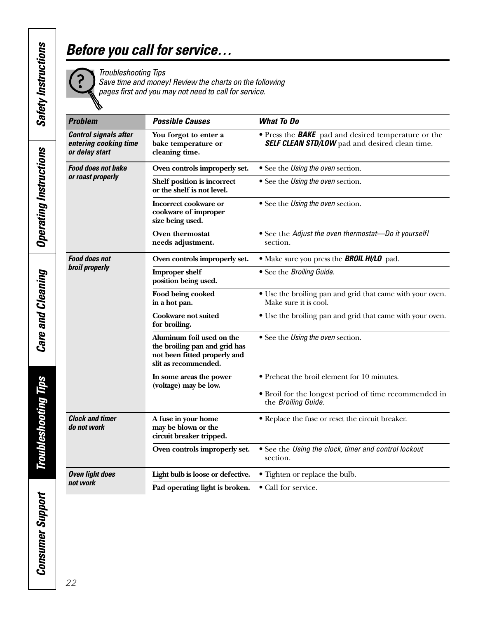## <span id="page-21-0"></span>*Before you call for service…*

*Troubleshooting Tips* 

*Save time and money! Review the charts on the following pages first and you may not need to call for service.*

| <b>Problem</b>                                                          | <b>Possible Causes</b>                                                                                             | <b>What To Do</b><br>• Press the <b>BAKE</b> pad and desired temperature or the<br><b>SELF CLEAN STD/LOW</b> pad and desired clean time. |  |  |
|-------------------------------------------------------------------------|--------------------------------------------------------------------------------------------------------------------|------------------------------------------------------------------------------------------------------------------------------------------|--|--|
| <b>Control signals after</b><br>entering cooking time<br>or delay start | You forgot to enter a<br>bake temperature or<br>cleaning time.                                                     |                                                                                                                                          |  |  |
| <b>Food does not bake</b>                                               | Oven controls improperly set.                                                                                      | • See the Using the oven section.                                                                                                        |  |  |
| or roast properly                                                       | Shelf position is incorrect<br>or the shelf is not level.                                                          | • See the Using the oven section.                                                                                                        |  |  |
|                                                                         | Incorrect cookware or<br>cookware of improper<br>size being used.                                                  | • See the Using the oven section.                                                                                                        |  |  |
|                                                                         | Oven thermostat<br>needs adjustment.                                                                               | • See the Adjust the oven thermostat-Do it yourself!<br>section.                                                                         |  |  |
| <b>Food does not</b>                                                    | Oven controls improperly set.                                                                                      | • Make sure you press the <b>BROIL HI/LO</b> pad.                                                                                        |  |  |
| broil properly                                                          | <b>Improper shelf</b><br>position being used.                                                                      | • See the Broiling Guide.                                                                                                                |  |  |
|                                                                         | Food being cooked<br>in a hot pan.                                                                                 | • Use the broiling pan and grid that came with your oven.<br>Make sure it is cool.                                                       |  |  |
|                                                                         | <b>Cookware not suited</b><br>for broiling.                                                                        | • Use the broiling pan and grid that came with your oven.                                                                                |  |  |
|                                                                         | Aluminum foil used on the<br>the broiling pan and grid has<br>not been fitted properly and<br>slit as recommended. | • See the Using the oven section.                                                                                                        |  |  |
|                                                                         | In some areas the power                                                                                            | • Preheat the broil element for 10 minutes.                                                                                              |  |  |
|                                                                         | (voltage) may be low.                                                                                              | • Broil for the longest period of time recommended in<br>the Broiling Guide.                                                             |  |  |
| <b>Clock and timer</b><br>do not work                                   | A fuse in your home<br>may be blown or the<br>circuit breaker tripped.                                             | • Replace the fuse or reset the circuit breaker.                                                                                         |  |  |
|                                                                         | Oven controls improperly set.                                                                                      | • See the Using the clock, timer and control lockout<br>section.                                                                         |  |  |
| <b>Oven light does</b>                                                  | Light bulb is loose or defective.                                                                                  | • Tighten or replace the bulb.                                                                                                           |  |  |
| not work                                                                | Pad operating light is broken.                                                                                     | • Call for service.                                                                                                                      |  |  |

**Care and Cleaning** *Care and Cleaning*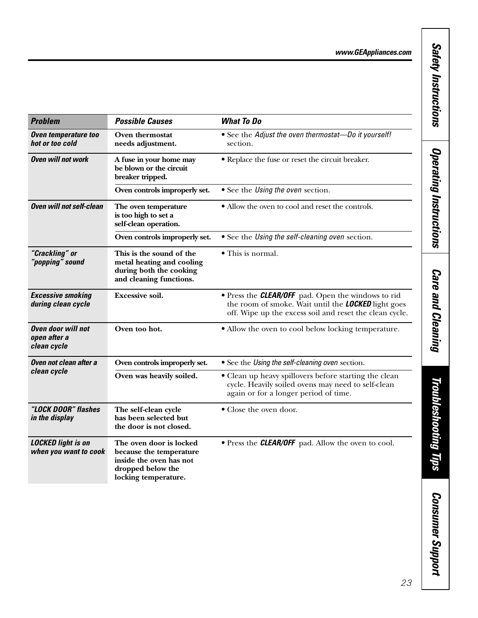*Safety Instructions*

**Safety Instructions** 

*Operating Instructions*

**Operating Instructions** 

*Care and Cleaning*

**Care and Cleaning** 

| <b>Problem</b>                                           | <b>Possible Causes</b>                                                                                                     | <b>What To Do</b>                                                                                                                                                                  |  |
|----------------------------------------------------------|----------------------------------------------------------------------------------------------------------------------------|------------------------------------------------------------------------------------------------------------------------------------------------------------------------------------|--|
| Oven temperature too<br>hot or too cold                  | Oven thermostat<br>needs adjustment.                                                                                       | • See the Adjust the oven thermostat-Do it yourself!<br>section.                                                                                                                   |  |
| <b>Oven will not work</b>                                | A fuse in your home may<br>be blown or the circuit<br>breaker tripped.                                                     | • Replace the fuse or reset the circuit breaker.                                                                                                                                   |  |
|                                                          | Oven controls improperly set.                                                                                              | • See the Using the oven section.                                                                                                                                                  |  |
| <b>Oven will not self-clean</b>                          | The oven temperature<br>is too high to set a<br>self-clean operation.                                                      | • Allow the oven to cool and reset the controls.                                                                                                                                   |  |
|                                                          | Oven controls improperly set.                                                                                              | • See the Using the self-cleaning oven section.                                                                                                                                    |  |
| "Crackling" or<br>"popping" sound                        | This is the sound of the<br>metal heating and cooling<br>during both the cooking<br>and cleaning functions.                | • This is normal.                                                                                                                                                                  |  |
| <b>Excessive smoking</b><br>during clean cycle           | <b>Excessive soil.</b>                                                                                                     | • Press the <b>CLEAR/OFF</b> pad. Open the windows to rid<br>the room of smoke. Wait until the <b>LOCKED</b> light goes<br>off. Wipe up the excess soil and reset the clean cycle. |  |
| <b>Oven door will not</b><br>open after a<br>clean cycle | Oven too hot.                                                                                                              | • Allow the oven to cool below locking temperature.                                                                                                                                |  |
| Oven not clean after a                                   | Oven controls improperly set.                                                                                              | • See the Using the self-cleaning oven section.                                                                                                                                    |  |
| clean cycle                                              | Oven was heavily soiled.                                                                                                   | • Clean up heavy spillovers before starting the clean<br>cycle. Heavily soiled ovens may need to self-clean<br>again or for a longer period of time.                               |  |
| "LOCK DOOR" flashes<br>in the display                    | The self-clean cycle<br>has been selected but<br>the door is not closed.                                                   | • Close the oven door.                                                                                                                                                             |  |
| <b>LOCKED light is on</b><br>when you want to cook       | The oven door is locked<br>because the temperature<br>inside the oven has not<br>dropped below the<br>locking temperature. | • Press the <b>CLEAR/OFF</b> pad. Allow the oven to cool.                                                                                                                          |  |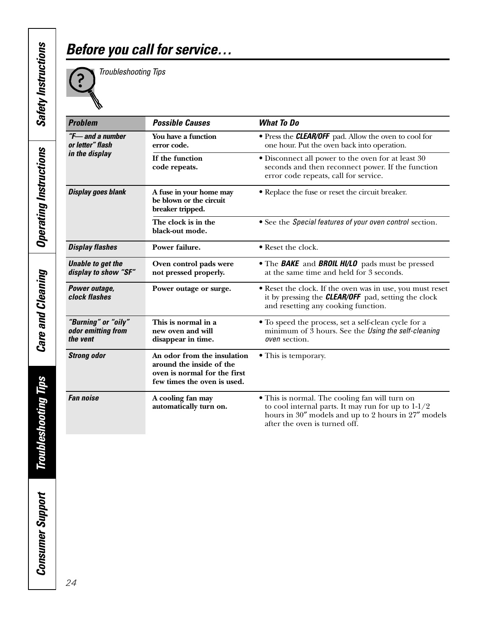## *Before you call for service…*



*Troubleshooting Tips* 

| <b>Problem</b>                                        | <b>Possible Causes</b>                                                                                                 | <b>What To Do</b>                                                                                                                                                                              |
|-------------------------------------------------------|------------------------------------------------------------------------------------------------------------------------|------------------------------------------------------------------------------------------------------------------------------------------------------------------------------------------------|
| "F-and a number"<br>or letter" flash                  | You have a function<br>error code.                                                                                     | • Press the <b>CLEAR/OFF</b> pad. Allow the oven to cool for<br>one hour. Put the oven back into operation.                                                                                    |
| in the display                                        | If the function<br>code repeats.                                                                                       | • Disconnect all power to the oven for at least 30<br>seconds and then reconnect power. If the function<br>error code repeats, call for service.                                               |
| <b>Display goes blank</b>                             | A fuse in your home may<br>be blown or the circuit<br>breaker tripped.                                                 | • Replace the fuse or reset the circuit breaker.                                                                                                                                               |
|                                                       | The clock is in the<br>black-out mode.                                                                                 | • See the Special features of your oven control section.                                                                                                                                       |
| <b>Display flashes</b>                                | Power failure.                                                                                                         | • Reset the clock.                                                                                                                                                                             |
| <b>Unable to get the</b><br>display to show "SF"      | Oven control pads were<br>not pressed properly.                                                                        | • The <b>BAKE</b> and <b>BROIL HI/LO</b> pads must be pressed<br>at the same time and held for 3 seconds.                                                                                      |
| Power outage,<br>clock flashes                        | Power outage or surge.                                                                                                 | • Reset the clock. If the oven was in use, you must reset<br>it by pressing the <b>CLEAR/OFF</b> pad, setting the clock<br>and resetting any cooking function.                                 |
| "Burning" or "oily"<br>odor emitting from<br>the vent | This is normal in a<br>new oven and will<br>disappear in time.                                                         | • To speed the process, set a self-clean cycle for a<br>minimum of $\overline{3}$ hours. See the Using the self-cleaning<br>oven section.                                                      |
| <b>Strong odor</b>                                    | An odor from the insulation<br>around the inside of the<br>oven is normal for the first<br>few times the oven is used. | • This is temporary.                                                                                                                                                                           |
| <b>Fan noise</b>                                      | A cooling fan may<br>automatically turn on.                                                                            | • This is normal. The cooling fan will turn on<br>to cool internal parts. It may run for up to $1-1/2$<br>hours in 30" models and up to 2 hours in 27" models<br>after the oven is turned off. |

**Care and Cleaning** *Care and Cleaning*

**Troubleshooting Tips** *Troubleshooting Tips*

*Consumer Support*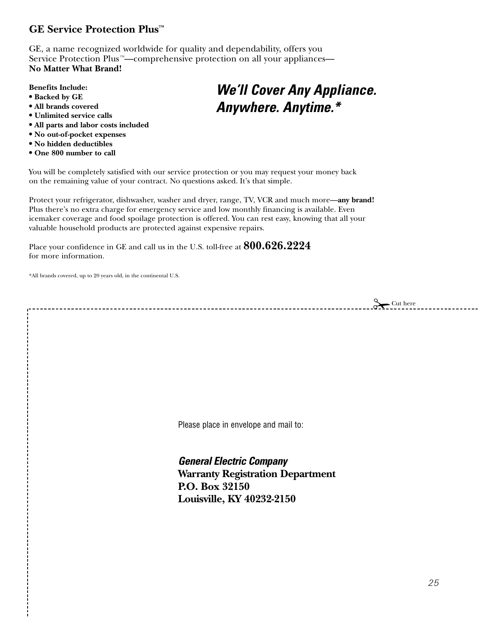### <span id="page-24-0"></span>**GE Service Protection Plus™**

GE, a name recognized worldwide for quality and dependability, offers you Service Protection Plus<sup>™</sup>—comprehensive protection on all your appliances— **No Matter What Brand!**

### **Benefits Include:**

- **• Backed by GE**
- **• All brands covered**
- **• Unlimited service calls**
- **• All parts and labor costs included**
- **• No out-of-pocket expenses**
- **• No hidden deductibles**
- **• One 800 number to call**

## *We'll Cover Any Appliance. Anywhere. Anytime.\**

You will be completely satisfied with our service protection or you may request your money back on the remaining value of your contract. No questions asked. It's that simple.

Protect your refrigerator, dishwasher, washer and dryer, range, TV, VCR and much more—**any brand!**  Plus there's no extra charge for emergency service and low monthly financing is available. Even icemaker coverage and food spoilage protection is offered. You can rest easy, knowing that all your valuable household products are protected against expensive repairs.

Place your confidence in GE and call us in the U.S. toll-free at **800.626.2224** for more information.

\*All brands covered, up to 20 years old, in the continental U.S.

 $\sum$ Cut here

Please place in envelope and mail to:

*General Electric Company* **Warranty Registration Department P.O. Box 32150 Louisville, KY 40232-2150**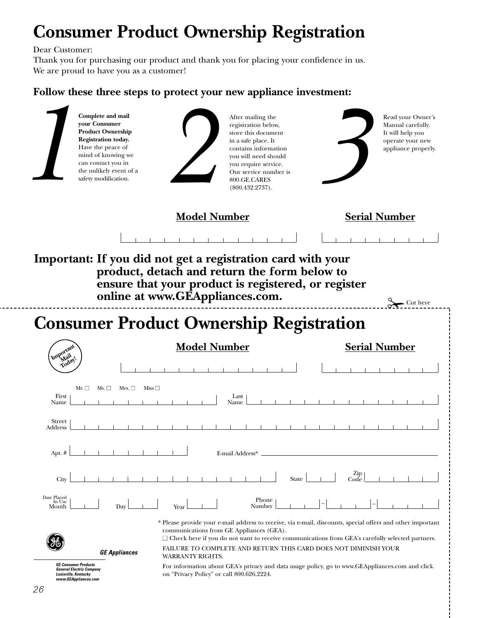## **Consumer Product Ownership Registration**

Dear Customer:

Thank you for purchasing our product and thank you for placing your confidence in us. We are proud to have you as a customer!

### **Follow these three steps to protect your new appliance investment:**

| your Consumer                                                                                                  | Complete and mail<br><b>Product Ownership</b><br>Registration today.<br>Have the peace of<br>mind of knowing we<br>can contact you in<br>the unlikely event of a<br>safety modification. | After mailing the<br>registration below,<br>store this document<br>in a safe place. It<br>contains information<br>you will need should<br>you require service.<br>Our service number is<br>800.GE.CARES<br>(800.432.2737). | Read your Owner's<br>Manual carefully.<br>It will help you<br>operate your new<br>appliance properly.                                                                                                                                                                                                                   |
|----------------------------------------------------------------------------------------------------------------|------------------------------------------------------------------------------------------------------------------------------------------------------------------------------------------|----------------------------------------------------------------------------------------------------------------------------------------------------------------------------------------------------------------------------|-------------------------------------------------------------------------------------------------------------------------------------------------------------------------------------------------------------------------------------------------------------------------------------------------------------------------|
|                                                                                                                |                                                                                                                                                                                          | <b>Model Number</b>                                                                                                                                                                                                        | <b>Serial Number</b>                                                                                                                                                                                                                                                                                                    |
|                                                                                                                |                                                                                                                                                                                          | Important: If you did not get a registration card with your<br>product, detach and return the form below to<br>ensure that your product is registered, or register<br>online at www.GEAppliances.com.                      | $\sum$ Cut here                                                                                                                                                                                                                                                                                                         |
|                                                                                                                |                                                                                                                                                                                          | <b>Consumer Product Ownership Registration</b>                                                                                                                                                                             |                                                                                                                                                                                                                                                                                                                         |
| Important<br>Wail<br>Today                                                                                     |                                                                                                                                                                                          | <b>Model Number</b>                                                                                                                                                                                                        | <b>Serial Number</b>                                                                                                                                                                                                                                                                                                    |
| $Mr. \Box$ Ms. $\Box$<br>First<br>Name                                                                         | Mrs. □<br>Miss $\square$                                                                                                                                                                 | Last<br>Name                                                                                                                                                                                                               |                                                                                                                                                                                                                                                                                                                         |
| <b>Street</b><br><b>Address</b>                                                                                |                                                                                                                                                                                          |                                                                                                                                                                                                                            |                                                                                                                                                                                                                                                                                                                         |
| Apt. #<br>City                                                                                                 |                                                                                                                                                                                          | E-mail Address*                                                                                                                                                                                                            | Zip<br><b>State</b><br>Code                                                                                                                                                                                                                                                                                             |
| Date Placed<br>In Use<br>Month                                                                                 | Day                                                                                                                                                                                      | Phone<br>Number<br>Year                                                                                                                                                                                                    |                                                                                                                                                                                                                                                                                                                         |
| <b>GE Consumer Products</b><br><b>General Electric Company</b><br>Louisville, Kentucky<br>www.GEAppliances.com | <b>GE Appliances</b>                                                                                                                                                                     | communications from GE Appliances (GEA).<br>FAILURE TO COMPLETE AND RETURN THIS CARD DOES NOT DIMINISH YOUR<br><b>WARRANTY RIGHTS.</b><br>on "Privacy Policy" or call 800.626.2224.                                        | * Please provide your e-mail address to receive, via e-mail, discounts, special offers and other important<br>$\Box$ Check here if you do not want to receive communications from GEA's carefully selected partners.<br>For information about GEA's privacy and data usage policy, go to www.GEAppliances.com and click |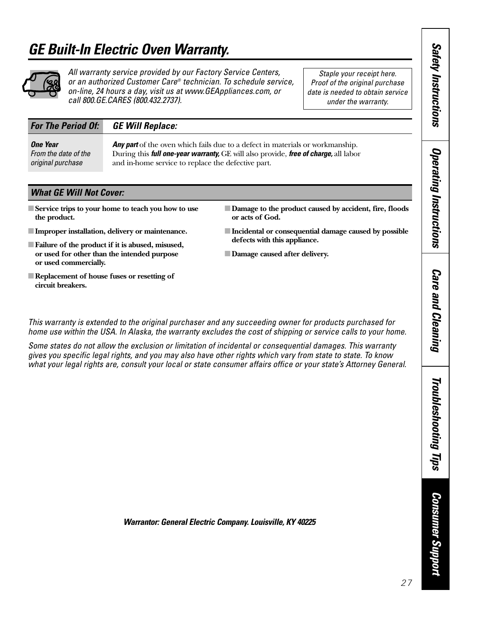## <span id="page-26-0"></span>*GE Built-In Electric Oven Warranty.*



### *All warranty service provided by our Factory Service Centers, or an authorized Customer Care® technician. To schedule service, on-line, 24 hours a day, visit us at www.GEAppliances.com, or call 800.GE.CARES (800.432.2737).*

*Staple your receipt here. Proof of the original purchase date is needed to obtain service under the warranty.*

### *For The Period Of: GE Will Replace:*

**One Year Any part** of the oven which fails due to a defect in materials or workmanship.<br>From the date of the During this **full one-vear warranty.** GE will also provide. **free of charge**, all labor *From the date of the* During this *full one-year warranty,* GE will also provide, *free of charge,* all labor *original purchase* and in-home service to replace the defective part.

### *What GE Will Not Cover:*

- Service trips to your home to teach you how to use **the product.**
- ■**Improper installation, delivery or maintenance.**
- **Failure of the product if it is abused, misused, or used for other than the intended purpose or used commercially.**
- ■**Replacement of house fuses or resetting of circuit breakers.**
- **Damage to the product caused by accident, fire, floods or acts of God.**
- ■**Incidental or consequential damage caused by possible defects with this appliance.**
- ■**Damage caused after delivery.**

*This warranty is extended to the original purchaser and any succeeding owner for products purchased for home use within the USA. In Alaska, the warranty excludes the cost of shipping or service calls to your home.*

*Some states do not allow the exclusion or limitation of incidental or consequential damages. This warranty gives you specific legal rights, and you may also have other rights which vary from state to state. To know what your legal rights are, consult your local or state consumer affairs office or your state's Attorney General.* *Care and Cleaning*

**Care and Cleaning** 

*Safety Instructions*

**Safety Instructions** 

*Operating Instructions*

**Operating Instructions** 

*Warrantor: General Electric Company. Louisville, KY 40225*